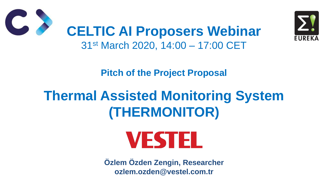**Pitch of the Project Proposal**



# **Thermal Assisted Monitoring System (THERMONITOR)**



## **CELTIC AI Proposers Webinar** 31st March 2020, 14:00 – 17:00 CET

**Özlem Özden Zengin, Researcher ozlem.ozden@vestel.com.tr**

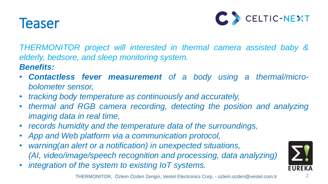## Teaser



*THERMONITOR project will interested in thermal camera assisted baby & elderly, bedsore, and sleep monitoring system. Benefits:*

• *Contactless fever measurement of a body using a thermal/micro-*

• *thermal and RGB camera recording, detecting the position and analyzing*

- *bolometer sensor,*
- *tracking body temperature as continuously and accurately,*
- *imaging data in real time,*
- *records humidity and the temperature data of the surroundings,*
- *App and Web platform via a communication protocol,*
- *warning(an alert or a notification) in unexpected situations, (AI, video/image/speech recognition and processing, data analyzing)*
- *integration of the system to existing IoT systems.*

THERMONITOR, Özlem Özden Zengin, Vestel Electronics Corp. - ozlem.ozden@vestel.com.tr

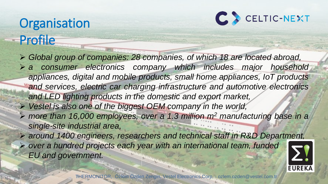## Organisation Profile



 *Global group of companies: 28 companies, of which 18 are located abroad, a consumer electronics company which includes major household appliances, digital and mobile products, small home appliances, IoT products and services, electric car charging infrastructure and automotive electronics and LED lighting products in the domestic and export market, Vestel is also one of the biggest OEM company in the world, more than 16,000 employees, over a 1.3 million m<sup>2</sup> manufacturing base in a single-site industrial area, around 1400 engineers, researchers and technical staff in R&D Department, over a hundred projects each year with an international team, funded EU and government.*

THERMONITOR, Özlem Özden Zengin, Vestel Electronics Corp. - ozlem.ozden@vestel.com.tr

# CELTIC-NEXT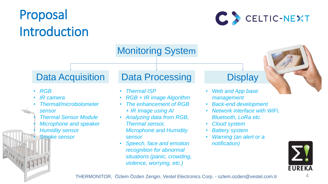## Proposal Introduction



### Monitoring System

- *RGB*
- *IR camera*
- *Thermal/microbolometer sensor*
- *Thermal Sensor Module* • *Microphone and speaker* • *Humidity sensor*

• *Smoke sensor*

### Data Acquisition Data Processing Display

- *Thermal ISP*
- 
- *+ IR Image using AI*
- *Thermal sensor, sensor*
- 



• *RGB + IR image Algorithm* • *The enhancement of RGB*  • *Analyzing data from RGB, Microphone and Humidity* 

• *Speech, face and emotion recognition for abnormal situations (panic, crowding, violence, worrying, etc.)*

- *Web and App base management*
- *Back-end development*
- *Network interface with WiFi, Bluetooth, LoRa etc.*
- *Cloud system*
- *Battery system*
- *Warning (an alert or a notification)*



THERMONITOR, Özlem Özden Zengin, Vestel Electronics Corp. - ozlem.ozden@vestel.com.tr

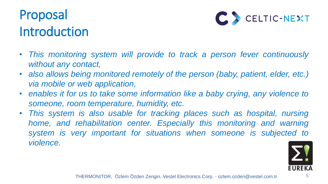## Proposal Introduction

- *This monitoring system will provide to track a person fever continuously without any contact,*
- *also allows being monitored remotely of the person (baby, patient, elder, etc.) via mobile or web application,*
- *enables it for us to take some information like a baby crying, any violence to someone, room temperature, humidity, etc.*
- *This system is also usable for tracking places such as hospital, nursing home, and rehabilitation center. Especially this monitoring and warning system is very important for situations when someone is subjected to violence.*



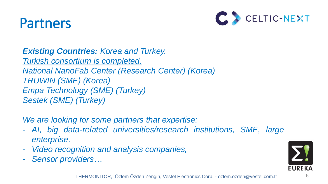## Partners



*Existing Countries: Korea and Turkey. Turkish consortium is completed. National NanoFab Center (Research Center) (Korea) TRUWIN (SME) (Korea) Empa Technology (SME) (Turkey) Sestek (SME) (Turkey)*

*We are looking for some partners that expertise:*

- *AI, big data-related universities/research institutions, SME, large*

- *enterprise,*
- *Video recognition and analysis companies,*
- *Sensor providers…*



- 
- 

THERMONITOR, Özlem Özden Zengin, Vestel Electronics Corp. - ozlem.ozden@vestel.com.tr